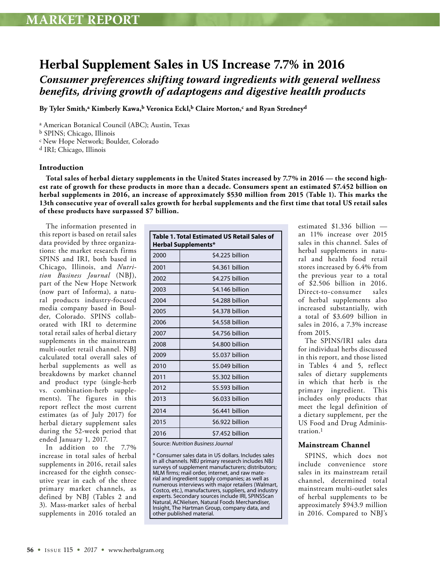## **Herbal Supplement Sales in US Increase 7.7% in 2016** *Consumer preferences shifting toward ingredients with general wellness benefits, driving growth of adaptogens and digestive health products*

By Tyler Smith,<sup>a</sup> Kimberly Kawa,<sup>b</sup> Veronica Eckl,<sup>b</sup> Claire Morton,<sup>c</sup> and Ryan Stredney<sup>d</sup>

a American Botanical Council (ABC); Austin, Texas

b SPINS; Chicago, Illinois

c New Hope Network; Boulder, Colorado

d IRI; Chicago, Illinois

#### **Introduction**

**Total sales of herbal dietary supplements in the United States increased by 7.7% in 2016 — the second highest rate of growth for these products in more than a decade. Consumers spent an estimated \$7.452 billion on herbal supplements in 2016, an increase of approximately \$530 million from 2015 (Table 1). This marks the 13th consecutive year of overall sales growth for herbal supplements and the first time that total US retail sales of these products have surpassed \$7 billion.**

The information presented in this report is based on retail sales data provided by three organizations: the market research firms SPINS and IRI, both based in Chicago, Illinois, and *Nutrition Business Journal* (NBJ), part of the New Hope Network (now part of Informa), a natural products industry-focused media company based in Boulder, Colorado. SPINS collaborated with IRI to determine total retail sales of herbal dietary supplements in the mainstream multi-outlet retail channel. NBJ calculated total overall sales of herbal supplements as well as breakdowns by market channel and product type (single-herb vs. combination-herb supplements). The figures in this report reflect the most current estimates (as of July 2017) for herbal dietary supplement sales during the 52-week period that ended January 1, 2017.

In addition to the 7.7% increase in total sales of herbal supplements in 2016, retail sales increased for the eighth consecutive year in each of the three primary market channels, as defined by NBJ (Tables 2 and 3). Mass-market sales of herbal supplements in 2016 totaled an

| <b>Table 1. Total Estimated US Retail Sales of</b><br><b>Herbal Supplements*</b> |                 |  |  |
|----------------------------------------------------------------------------------|-----------------|--|--|
| 2000                                                                             | \$4.225 billion |  |  |
| 2001                                                                             | \$4.361 billion |  |  |
| 2002                                                                             | \$4.275 billion |  |  |
| 2003                                                                             | \$4.146 billion |  |  |
| 2004                                                                             | \$4.288 billion |  |  |
| 2005                                                                             | \$4.378 billion |  |  |
| 2006                                                                             | \$4.558 billion |  |  |
| 2007                                                                             | \$4.756 billion |  |  |
| 2008                                                                             | \$4.800 billion |  |  |
| 2009                                                                             | \$5.037 billion |  |  |
| 2010                                                                             | \$5.049 billion |  |  |
| 2011                                                                             | \$5.302 billion |  |  |
| 2012                                                                             | \$5.593 billion |  |  |
| 2013                                                                             | \$6.033 billion |  |  |
| 2014                                                                             | \$6.441 billion |  |  |
| 2015                                                                             | \$6.922 billion |  |  |
| 2016                                                                             | \$7.452 billion |  |  |

Source: *Nutrition Business Journal*

\* Consumer sales data in US dollars. Includes sales in all channels. NBJ primary research includes NBJ surveys of supplement manufacturers; distributors; MLM firms; mail order, internet, and raw material and ingredient supply companies; as well as numerous interviews with major retailers (Walmart, Costco, etc.), manufacturers, suppliers, and industry experts. Secondary sources include IRI, SPINSScan Natural, ACNielsen, Natural Foods Merchandiser, Insight, The Hartman Group, company data, and other published material.

estimated \$1.336 billion an 11% increase over 2015 sales in this channel. Sales of herbal supplements in natural and health food retail stores increased by 6.4% from the previous year to a total of \$2.506 billion in 2016. Direct-to-consumer sales of herbal supplements also increased substantially, with a total of \$3.609 billion in sales in 2016, a 7.3% increase from 2015.

The SPINS/IRI sales data for individual herbs discussed in this report, and those listed in Tables 4 and 5, reflect sales of dietary supplements in which that herb is the primary ingredient. This includes only products that meet the legal definition of a dietary supplement, per the US Food and Drug Administration.1

### **Mainstream Channel**

SPINS, which does not include convenience store sales in its mainstream retail channel, determined total mainstream multi-outlet sales of herbal supplements to be approximately \$943.9 million in 2016. Compared to NBJ's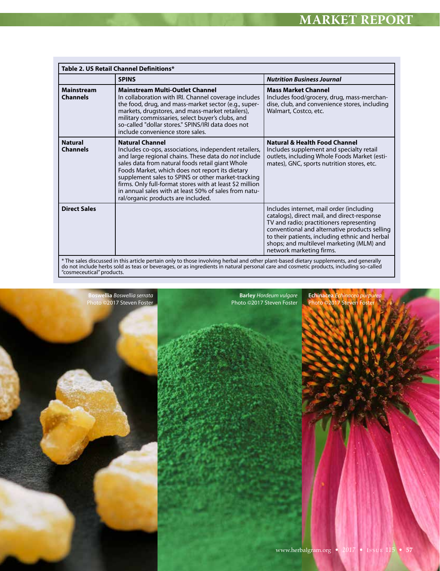| Table 2. US Retail Channel Definitions* |                                                                                                                                                                                                                                                                                                                                                                                                                                                                 |                                                                                                                                                                                                                                                                                                                 |  |
|-----------------------------------------|-----------------------------------------------------------------------------------------------------------------------------------------------------------------------------------------------------------------------------------------------------------------------------------------------------------------------------------------------------------------------------------------------------------------------------------------------------------------|-----------------------------------------------------------------------------------------------------------------------------------------------------------------------------------------------------------------------------------------------------------------------------------------------------------------|--|
|                                         | <b>SPINS</b>                                                                                                                                                                                                                                                                                                                                                                                                                                                    | <b>Nutrition Business Journal</b>                                                                                                                                                                                                                                                                               |  |
| <b>Mainstream</b><br><b>Channels</b>    | <b>Mainstream Multi-Outlet Channel</b><br>In collaboration with IRI. Channel coverage includes<br>the food, drug, and mass-market sector (e.g., super-<br>markets, drugstores, and mass-market retailers),<br>military commissaries, select buyer's clubs, and<br>so-called "dollar stores." SPINS/IRI data does not<br>include convenience store sales.                                                                                                        | <b>Mass Market Channel</b><br>Includes food/grocery, drug, mass-merchan-<br>dise, club, and convenience stores, including<br>Walmart, Costco, etc.                                                                                                                                                              |  |
| <b>Natural</b><br><b>Channels</b>       | <b>Natural Channel</b><br>Includes co-ops, associations, independent retailers,<br>and large regional chains. These data do not include<br>sales data from natural foods retail giant Whole<br>Foods Market, which does not report its dietary<br>supplement sales to SPINS or other market-tracking<br>firms. Only full-format stores with at least \$2 million<br>in annual sales with at least 50% of sales from natu-<br>ral/organic products are included. | <b>Natural &amp; Health Food Channel</b><br>Includes supplement and specialty retail<br>outlets, including Whole Foods Market (esti-<br>mates), GNC, sports nutrition stores, etc.                                                                                                                              |  |
| <b>Direct Sales</b>                     |                                                                                                                                                                                                                                                                                                                                                                                                                                                                 | Includes internet, mail order (including<br>catalogs), direct mail, and direct-response<br>TV and radio; practitioners representing<br>conventional and alternative products selling<br>to their patients, including ethnic and herbal<br>shops; and multilevel marketing (MLM) and<br>network marketing firms. |  |

\* The sales discussed in this article pertain only to those involving herbal and other plant-based dietary supplements, and generally do not include herbs sold as teas or beverages, or as ingredients in natural personal care and cosmetic products, including so-called "cosmeceutical" products.



**Barley** *Hordeum vulgare* Photo ©2017 Steven Foster **Echinacea** *Echinacea purpurea* Photo ©2017 Steven Foster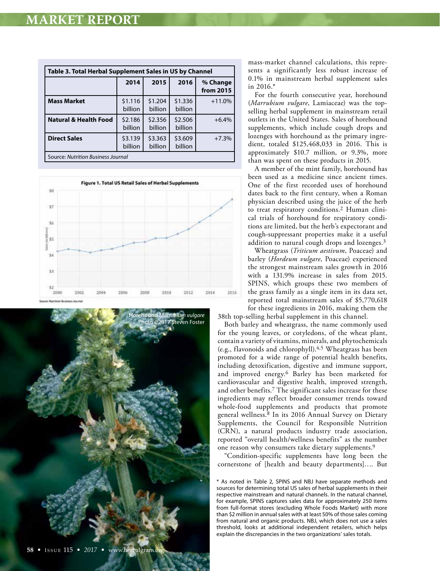| Table 3. Total Herbal Supplement Sales in US by Channel |                    |                    |                    |                       |
|---------------------------------------------------------|--------------------|--------------------|--------------------|-----------------------|
|                                                         | 2014               | 2015               | 2016               | % Change<br>from 2015 |
| <b>Mass Market</b>                                      | \$1.116<br>billion | \$1.204<br>billion | \$1.336<br>billion | $+11.0%$              |
| <b>Natural &amp; Health Food</b>                        | \$2.186<br>billion | \$2.356<br>billion | \$2.506<br>billion | $+6.4%$               |
| <b>Direct Sales</b>                                     | \$3.139<br>billion | \$3.363<br>billion | \$3.609<br>billion | $+7.3%$               |
| Source: Nutrition Business Journal                      |                    |                    |                    |                       |





mass-market channel calculations, this represents a significantly less robust increase of 0.1% in mainstream herbal supplement sales in 2016.\*

For the fourth consecutive year, horehound (*Marrubium vulgare*, Lamiaceae) was the topselling herbal supplement in mainstream retail outlets in the United States. Sales of horehound supplements, which include cough drops and lozenges with horehound as the primary ingredient, totaled \$125,468,033 in 2016. This is approximately \$10.7 million, or 9.3%, more than was spent on these products in 2015.

A member of the mint family, horehound has been used as a medicine since ancient times. One of the first recorded uses of horehound dates back to the first century, when a Roman physician described using the juice of the herb to treat respiratory conditions.2 Human clinical trials of horehound for respiratory conditions are limited, but the herb's expectorant and cough-suppressant properties make it a useful addition to natural cough drops and lozenges.3

Wheatgrass (*Triticum aestivum*, Poaceae) and barley (*Hordeum vulgare*, Poaceae) experienced the strongest mainstream sales growth in 2016 with a 131.9% increase in sales from 2015. SPINS, which groups these two members of the grass family as a single item in its data set, reported total mainstream sales of \$5,770,618 for these ingredients in 2016, making them the 38th top-selling herbal supplement in this channel.

Both barley and wheatgrass, the name commonly used for the young leaves, or cotyledons, of the wheat plant, contain a variety of vitamins, minerals, and phytochemicals (e.g., flavonoids and chlorophyll).4,5 Wheatgrass has been promoted for a wide range of potential health benefits, including detoxification, digestive and immune support, and improved energy.6 Barley has been marketed for cardiovascular and digestive health, improved strength, and other benefits.7 The significant sales increase for these ingredients may reflect broader consumer trends toward whole-food supplements and products that promote general wellness.8 In its 2016 Annual Survey on Dietary Supplements, the Council for Responsible Nutrition (CRN), a natural products industry trade association, reported "overall health/wellness benefits" as the number one reason why consumers take dietary supplements.9

"Condition-specific supplements have long been the cornerstone of [health and beauty departments]…. But

\* As noted in Table 2, SPINS and NBJ have separate methods and sources for determining total US sales of herbal supplements in their respective mainstream and natural channels. In the natural channel, for example, SPINS captures sales data for approximately 250 items from full-format stores (excluding Whole Foods Market) with more than \$2 million in annual sales with at least 50% of those sales coming from natural and organic products. NBJ, which does not use a sales threshold, looks at additional independent retailers, which helps explain the discrepancies in the two organizations' sales totals.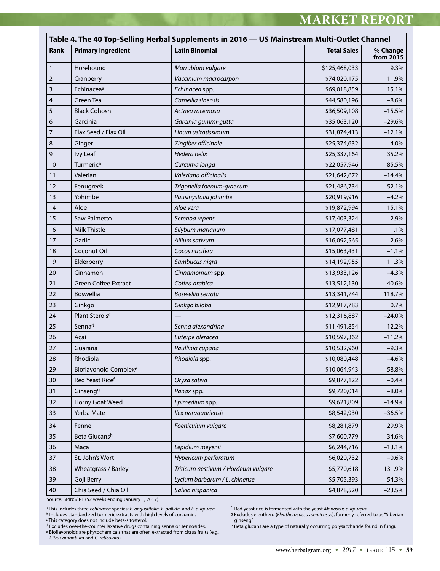|                         | Table 4. The 40 Top-Selling Herbal Supplements in 2016 — US Mainstream Multi-Outlet Channel |                                     |                    |                               |  |
|-------------------------|---------------------------------------------------------------------------------------------|-------------------------------------|--------------------|-------------------------------|--|
| Rank                    | <b>Primary Ingredient</b>                                                                   | <b>Latin Binomial</b>               | <b>Total Sales</b> | % Change<br>from $20\bar{1}5$ |  |
| $\mathbf{1}$            | Horehound                                                                                   | Marrubium vulgare                   | \$125,468,033      | 9.3%                          |  |
| $\mathbf 2$             | Cranberry                                                                                   | Vaccinium macrocarpon               | \$74,020,175       | 11.9%                         |  |
| $\overline{\mathbf{3}}$ | Echinacea <sup>a</sup>                                                                      | Echinacea spp.                      | \$69,018,859       | 15.1%                         |  |
| $\overline{4}$          | Green Tea                                                                                   | Camellia sinensis                   | \$44,580,196       | $-8.6%$                       |  |
| 5                       | <b>Black Cohosh</b>                                                                         | Actaea racemosa                     | \$36,509,108       | $-15.5%$                      |  |
| 6                       | Garcinia                                                                                    | Garcinia gummi-gutta                | \$35,063,120       | $-29.6%$                      |  |
| $\overline{7}$          | Flax Seed / Flax Oil                                                                        | Linum usitatissimum                 | \$31,874,413       | $-12.1%$                      |  |
| 8                       | Ginger                                                                                      | Zingiber officinale                 | \$25,374,632       | $-4.0%$                       |  |
| 9                       | <b>Ivy Leaf</b>                                                                             | Hedera helix                        | \$25,337,164       | 35.2%                         |  |
| 10                      | Turmeric <sup>b</sup>                                                                       | Curcuma longa                       | \$22,057,946       | 85.5%                         |  |
| 11                      | Valerian                                                                                    | Valeriana officinalis               | \$21,642,672       | $-14.4%$                      |  |
| 12                      | Fenugreek                                                                                   | Trigonella foenum-graecum           | \$21,486,734       | 52.1%                         |  |
| 13                      | Yohimbe                                                                                     | Pausinystalia johimbe               | \$20,919,916       | $-4.2%$                       |  |
| 14                      | Aloe                                                                                        | Aloe vera                           | \$19,872,994       | 15.1%                         |  |
| 15                      | Saw Palmetto                                                                                | Serenoa repens                      | \$17,403,324       | 2.9%                          |  |
| 16                      | Milk Thistle                                                                                | Silybum marianum                    | \$17,077,481       | 1.1%                          |  |
| 17                      | Garlic                                                                                      | Allium sativum                      | \$16,092,565       | $-2.6%$                       |  |
| 18                      | Coconut Oil                                                                                 | Cocos nucifera                      | \$15,063,431       | $-1.1%$                       |  |
| 19                      | Elderberry                                                                                  | Sambucus nigra                      | \$14,192,955       | 11.3%                         |  |
| 20                      | Cinnamon                                                                                    | Cinnamomum spp.                     | \$13,933,126       | $-4.3%$                       |  |
| 21                      | <b>Green Coffee Extract</b>                                                                 | Coffea arabica                      | \$13,512,130       | $-40.6%$                      |  |
| 22                      | Boswellia                                                                                   | Boswellia serrata                   | \$13,341,744       | 118.7%                        |  |
| 23                      | Ginkgo                                                                                      | Ginkgo biloba                       | \$12,917,783       | 0.7%                          |  |
| 24                      | Plant Sterolsc                                                                              |                                     | \$12,316,887       | $-24.0%$                      |  |
| 25                      | Sennad                                                                                      | Senna alexandrina                   | \$11,491,854       | 12.2%                         |  |
| 26                      | Açaí                                                                                        | Euterpe oleracea                    | \$10,597,362       | $-11.2%$                      |  |
| 27                      | Guarana                                                                                     | Paullinia cupana                    | \$10,532,960       | $-9.3%$                       |  |
| 28                      | Rhodiola                                                                                    | Rhodiola spp.                       | \$10,080,448       | $-4.6%$                       |  |
| 29                      | <b>Bioflavonoid Complexe</b>                                                                |                                     | \$10,064,943       | $-58.8%$                      |  |
| 30                      | Red Yeast Ricef                                                                             | Oryza sativa                        | \$9,877,122        | $-0.4%$                       |  |
| 31                      | Ginseng <sup>g</sup>                                                                        | Panax spp.                          | \$9,720,014        | $-8.0\%$                      |  |
| 32                      | Horny Goat Weed                                                                             | Epimedium spp.                      | \$9,621,809        | $-14.9%$                      |  |
| 33                      | Yerba Mate                                                                                  | Ilex paraquariensis                 | \$8,542,930        | $-36.5%$                      |  |
| 34                      | Fennel                                                                                      | Foeniculum vulgare                  | \$8,281,879        | 29.9%                         |  |
| 35                      | Beta Glucansh                                                                               |                                     | \$7,600,779        | $-34.6%$                      |  |
| 36                      | Maca                                                                                        | Lepidium meyenii                    | \$6,244,716        | $-13.1%$                      |  |
| 37                      | St. John's Wort                                                                             | Hypericum perforatum                | \$6,020,732        | $-0.6%$                       |  |
| 38                      | Wheatgrass / Barley                                                                         | Triticum aestivum / Hordeum vulgare | \$5,770,618        | 131.9%                        |  |
| 39                      | Goji Berry                                                                                  | Lycium barbarum / L. chinense       | \$5,705,393        | $-54.3%$                      |  |
| 40                      | Chia Seed / Chia Oil                                                                        | Salvia hispanica                    | \$4,878,520        | $-23.5%$                      |  |

Source: SPINS/IRI (52 weeks ending January 1, 2017)

<sup>a</sup> This includes three *Echinacea s*pecies: *E. angustifolia, E. pallida,* and *E. purpurea.*<br><sup>b</sup> Includes standardized turmeric extracts with high levels of curcumin.

e Bioflavonoids are phytochemicals that are often extracted from citrus fruits (e.g., *Citrus aurantium* and *C. reticulata*).

f Red yeast rice is fermented with the yeast *Monascus purpureus.*<br>9 Excludes eleuthero (*Eleutherococcus senticosus*), formerly referred to as "Siberian<br>0 ginseng."<br><sup>h</sup> Beta glucans are a type of naturally occurring polys

<sup>&</sup>lt;sup>c</sup> This category does not include beta-sitosterol.<br><sup>d</sup> Excludes over-the-counter laxative drugs containing senna or sennosides.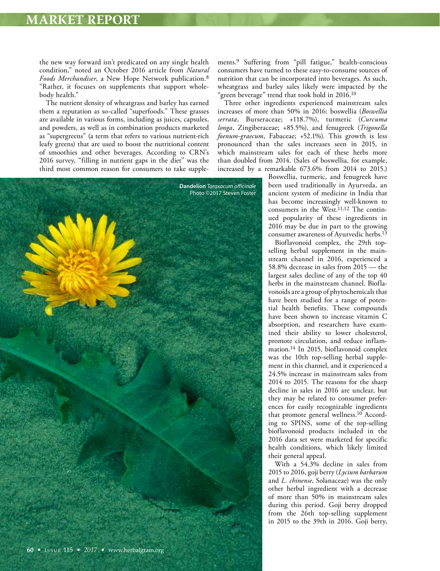the new way forward isn't predicated on any single health condition," noted an October 2016 article from *Natural Foods Merchandiser*, a New Hope Network publication.8 "Rather, it focuses on supplements that support wholebody health."

The nutrient density of wheatgrass and barley has earned them a reputation as so-called "superfoods." These grasses are available in various forms, including as juices, capsules, and powders, as well as in combination products marketed as "supergreens" (a term that refers to various nutrient-rich leafy greens) that are used to boost the nutritional content of smoothies and other beverages. According to CRN's 2016 survey, "filling in nutrient gaps in the diet" was the third most common reason for consumers to take supple-



Three other ingredients experienced mainstream sales increases of more than 50% in 2016: boswellia (*Boswellia serrata*, Burseraceae; +118.7%), turmeric (*Curcuma longa*, Zingiberaceae; +85.5%), and fenugreek (*Trigonella foenum-graecum*, Fabaceae; +52.1%). This growth is less pronounced than the sales increases seen in 2015, in which mainstream sales for each of these herbs more than doubled from 2014. (Sales of boswellia, for example, increased by a remarkable 673.6% from 2014 to 2015.)

**Dandelion** *Taraxacum officinale* Photo ©2017 Steven Foster

Boswellia, turmeric, and fenugreek have been used traditionally in Ayurveda, an ancient system of medicine in India that has become increasingly well-known to consumers in the West.11,12 The continued popularity of these ingredients in 2016 may be due in part to the growing consumer awareness of Ayurvedic herbs.13

Bioflavonoid complex, the 29th topselling herbal supplement in the mainstream channel in 2016, experienced a 58.8% decrease in sales from 2015 — the largest sales decline of any of the top 40 herbs in the mainstream channel. Bioflavonoids are a group of phytochemicals that have been studied for a range of potential health benefits. These compounds have been shown to increase vitamin C absorption, and researchers have examined their ability to lower cholesterol, promote circulation, and reduce inflammation.14 In 2015, bioflavonoid complex was the 10th top-selling herbal supplement in this channel, and it experienced a 24.5% increase in mainstream sales from 2014 to 2015. The reasons for the sharp decline in sales in 2016 are unclear, but they may be related to consumer preferences for easily recognizable ingredients that promote general wellness.10 According to SPINS, some of the top-selling bioflavonoid products included in the 2016 data set were marketed for specific health conditions, which likely limited their general appeal.

With a 54.3% decline in sales from 2015 to 2016, goji berry (*Lycium barbarum* and *L. chinense*, Solanaceae) was the only other herbal ingredient with a decrease of more than 50% in mainstream sales during this period. Goji berry dropped from the 26th top-selling supplement in 2015 to the 39th in 2016. Goji berry,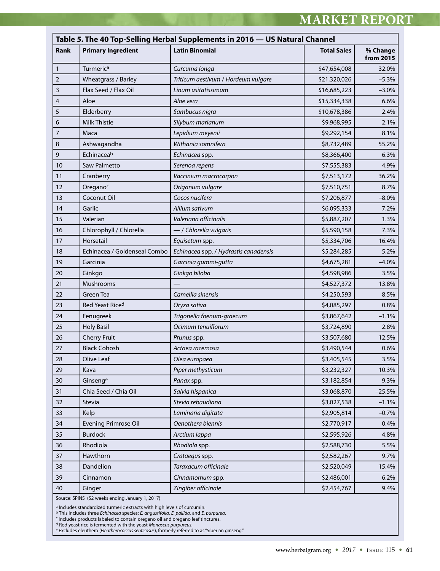## **MARKET REPORT**

|                | Table 5. The 40 Top-Selling Herbal Supplements in 2016 - US Natural Channel |                                       |                    |                       |
|----------------|-----------------------------------------------------------------------------|---------------------------------------|--------------------|-----------------------|
| Rank           | <b>Primary Ingredient</b>                                                   | <b>Latin Binomial</b>                 | <b>Total Sales</b> | % Change<br>from 2015 |
| $\mathbf{1}$   | Turmeric <sup>a</sup>                                                       | Curcuma longa                         | \$47,654,008       | 32.0%                 |
| $\overline{2}$ | Wheatgrass / Barley                                                         | Triticum aestivum / Hordeum vulgare   | \$21,320,026       | $-5.3%$               |
| 3              | Flax Seed / Flax Oil                                                        | Linum usitatissimum                   | \$16,685,223       | $-3.0%$               |
| 4              | Aloe                                                                        | Aloe vera                             | \$15,334,338       | 6.6%                  |
| 5              | Elderberry                                                                  | Sambucus nigra                        | \$10,678,386       | 2.4%                  |
| 6              | Milk Thistle                                                                | Silybum marianum                      | \$9,968,995        | 2.1%                  |
| 7              | Maca                                                                        | Lepidium meyenii                      | \$9,292,154        | 8.1%                  |
| 8              | Ashwagandha                                                                 | Withania somnifera                    | \$8,732,489        | 55.2%                 |
| 9              | Echinaceab                                                                  | Echinacea spp.                        | \$8,366,400        | 6.3%                  |
| 10             | Saw Palmetto                                                                | Serenoa repens                        | \$7,555,383        | 4.9%                  |
| 11             | Cranberry                                                                   | Vaccinium macrocarpon                 | \$7,513,172        | 36.2%                 |
| 12             | Oregano <sup>c</sup>                                                        | Origanum vulgare                      | \$7,510,751        | 8.7%                  |
| 13             | Coconut Oil                                                                 | Cocos nucifera                        | \$7,206,877        | $-8.0\%$              |
| 14             | Garlic                                                                      | Allium sativum                        | \$6,095,333        | 7.2%                  |
| 15             | Valerian                                                                    | Valeriana officinalis                 | \$5,887,207        | 1.3%                  |
| 16             | Chlorophyll / Chlorella                                                     | - / Chlorella vulgaris                | \$5,590,158        | 7.3%                  |
| 17             | Horsetail                                                                   | Equisetum spp.                        | \$5,334,706        | 16.4%                 |
| 18             | Echinacea / Goldenseal Combo                                                | Echinacea spp. / Hydrastis canadensis | \$5,284,285        | 5.2%                  |
| 19             | Garcinia                                                                    | Garcinia gummi-gutta                  | \$4,675,281        | $-4.0\%$              |
| 20             | Ginkgo                                                                      | Ginkgo biloba                         | \$4,598,986        | 3.5%                  |
| 21             | Mushrooms                                                                   |                                       | \$4,527,372        | 13.8%                 |
| 22             | Green Tea                                                                   | Camellia sinensis                     | \$4,250,593        | 8.5%                  |
| 23             | Red Yeast Riced                                                             | Oryza sativa                          | \$4,085,297        | 0.8%                  |
| 24             | Fenugreek                                                                   | Trigonella foenum-graecum             | \$3,867,642        | $-1.1%$               |
| 25             | <b>Holy Basil</b>                                                           | Ocimum tenuiflorum                    | \$3,724,890        | 2.8%                  |
| 26             | <b>Cherry Fruit</b>                                                         | Prunus spp.                           | \$3,507,680        | 12.5%                 |
| 27             | <b>Black Cohosh</b>                                                         | Actaea racemosa                       | \$3,490,544        | 0.6%                  |
| 28             | Olive Leaf                                                                  | Olea europaea                         | \$3,405,545        | 3.5%                  |
| 29             | Kava                                                                        | Piper methysticum                     | \$3,232,327        | 10.3%                 |
| 30             | Ginsenge                                                                    | Panax spp.                            | \$3,182,854        | 9.3%                  |
| 31             | Chia Seed / Chia Oil                                                        | Salvia hispanica                      | \$3,068,870        | $-25.5%$              |
| 32             | Stevia                                                                      | Stevia rebaudiana                     | \$3,027,538        | $-1.1%$               |
| 33             | Kelp                                                                        | Laminaria digitata                    | \$2,905,814        | $-0.7%$               |
| 34             | <b>Evening Primrose Oil</b>                                                 | Oenothera biennis                     | \$2,770,917        | 0.4%                  |
| 35             | <b>Burdock</b>                                                              | Arctium lappa                         | \$2,595,926        | 4.8%                  |
| 36             | Rhodiola                                                                    | Rhodiola spp.                         | \$2,588,730        | 5.5%                  |
| 37             | Hawthorn                                                                    | Crataegus spp.                        | \$2,582,267        | 9.7%                  |
| 38             | Dandelion                                                                   | Taraxacum officinale                  | \$2,520,049        | 15.4%                 |
| 39             | Cinnamon                                                                    | Cinnamomum spp.                       | \$2,486,001        | 6.2%                  |
| 40             | Ginger                                                                      | Zingiber officinale                   | \$2,454,767        | 9.4%                  |

Source: SPINS (52 weeks ending January 1, 2017)

<sup>a</sup> Includes standardized turmeric extracts with high levels of curcumin.

<sup>b</sup> This includes three *Echinacea s*pecies: *E. angustifolia, E. pallida,* and *E. purpurea.*<br><sup>c</sup> Includes products labeled to contain oregano oil and oregano leaf tinctures.

d Red yeast rice is fermented with the yeast *Monascus purpureus*.

e Excludes eleuthero (*Eleutherococcus senticosus*), formerly referred to as "Siberian ginseng."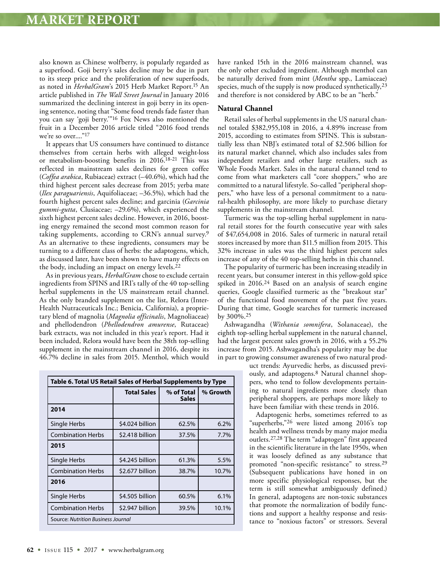also known as Chinese wolfberry, is popularly regarded as a superfood. Goji berry's sales decline may be due in part to its steep price and the proliferation of new superfoods, as noted in *HerbalGram*'s 2015 Herb Market Report.15 An article published in *The Wall Street Journal* in January 2016 summarized the declining interest in goji berry in its opening sentence, noting that "Some food trends fade faster than you can say 'goji berry.'"16 Fox News also mentioned the fruit in a December 2016 article titled "2016 food trends we're so over...."<sup>17</sup>

It appears that US consumers have continued to distance themselves from certain herbs with alleged weight-loss or metabolism-boosting benefits in 2016.18-21 This was reflected in mainstream sales declines for green coffee (*Coffea arabica*, Rubiaceae) extract (–40.6%), which had the third highest percent sales decrease from 2015; yerba mate (*Ilex paraguariensis*, Aquifoliaceae; –36.5%), which had the fourth highest percent sales decline; and garcinia (*Garcinia gummi-gutta*, Clusiaceae; –29.6%), which experienced the sixth highest percent sales decline. However, in 2016, boosting energy remained the second most common reason for taking supplements, according to CRN's annual survey.9 As an alternative to these ingredients, consumers may be turning to a different class of herbs: the adaptogens, which, as discussed later, have been shown to have many effects on the body, including an impact on energy levels.22

As in previous years, *HerbalGram* chose to exclude certain ingredients from SPINS and IRI's tally of the 40 top-selling herbal supplements in the US mainstream retail channel. As the only branded supplement on the list, Relora (Inter-Health Nutraceuticals Inc.; Benicia, California), a proprietary blend of magnolia (*Magnolia officinalis*, Magnoliaceae) and phellodendron (*Phellodendron amurense*, Rutaceae) bark extracts, was not included in this year's report. Had it been included, Relora would have been the 38th top-selling supplement in the mainstream channel in 2016, despite its 46.7% decline in sales from 2015. Menthol, which would

| Table 6. Total US Retail Sales of Herbal Supplements by Type |                    |                            |          |
|--------------------------------------------------------------|--------------------|----------------------------|----------|
|                                                              | <b>Total Sales</b> | % of Total<br><b>Sales</b> | % Growth |
| 2014                                                         |                    |                            |          |
| Single Herbs                                                 | \$4.024 billion    | 62.5%                      | 6.2%     |
| <b>Combination Herbs</b>                                     | \$2.418 billion    | 37.5%                      | 7.7%     |
| 2015                                                         |                    |                            |          |
| Single Herbs                                                 | \$4.245 billion    | 61.3%                      | 5.5%     |
| <b>Combination Herbs</b>                                     | \$2.677 billion    | 38.7%                      | 10.7%    |
| 2016                                                         |                    |                            |          |
| Single Herbs                                                 | \$4.505 billion    | 60.5%                      | 6.1%     |
| <b>Combination Herbs</b>                                     | \$2.947 billion    | 39.5%                      | 10.1%    |
| <b>Source: Nutrition Business Journal</b>                    |                    |                            |          |

have ranked 15th in the 2016 mainstream channel, was the only other excluded ingredient. Although menthol can be naturally derived from mint (*Mentha* spp., Lamiaceae) species, much of the supply is now produced synthetically,23 and therefore is not considered by ABC to be an "herb."

#### **Natural Channel**

Retail sales of herbal supplements in the US natural channel totaled \$382,955,108 in 2016, a 4.89% increase from 2015, according to estimates from SPINS. This is substantially less than NBJ's estimated total of \$2.506 billion for its natural market channel, which also includes sales from independent retailers and other large retailers, such as Whole Foods Market. Sales in the natural channel tend to come from what marketers call "core shoppers," who are committed to a natural lifestyle. So-called "peripheral shoppers," who have less of a personal commitment to a natural-health philosophy, are more likely to purchase dietary supplements in the mainstream channel.

Turmeric was the top-selling herbal supplement in natural retail stores for the fourth consecutive year with sales of \$47,654,008 in 2016. Sales of turmeric in natural retail stores increased by more than \$11.5 million from 2015. This 32% increase in sales was the third highest percent sales increase of any of the 40 top-selling herbs in this channel.

The popularity of turmeric has been increasing steadily in recent years, but consumer interest in this yellow-gold spice spiked in 2016.24 Based on an analysis of search engine queries, Google classified turmeric as the "breakout star" of the functional food movement of the past five years. During that time, Google searches for turmeric increased by 300%.25

Ashwagandha (*Withania somnifera*, Solanaceae), the eighth top-selling herbal supplement in the natural channel, had the largest percent sales growth in 2016, with a 55.2% increase from 2015. Ashwagandha's popularity may be due in part to growing consumer awareness of two natural prod-

> uct trends: Ayurvedic herbs, as discussed previously, and adaptogens.8 Natural channel shoppers, who tend to follow developments pertaining to natural ingredients more closely than peripheral shoppers, are perhaps more likely to have been familiar with these trends in 2016.

> Adaptogenic herbs, sometimes referred to as "superherbs,"26 were listed among 2016's top health and wellness trends by many major media outlets.27,28 The term "adaptogen" first appeared in the scientific literature in the late 1950s, when it was loosely defined as any substance that promoted "non-specific resistance" to stress.29 (Subsequent publications have honed in on more specific physiological responses, but the term is still somewhat ambiguously defined.) In general, adaptogens are non-toxic substances that promote the normalization of bodily functions and support a healthy response and resistance to "noxious factors" or stressors. Several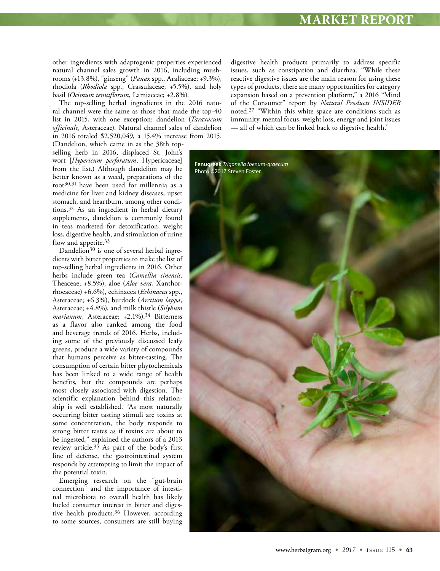other ingredients with adaptogenic properties experienced natural channel sales growth in 2016, including mushrooms (+13.8%), "ginseng" (*Panax* spp., Araliaceae; +9.3%), rhodiola (*Rhodiola* spp., Crassulaceae; +5.5%), and holy basil (*Ocimum tenuiflorum*, Lamiaceae; +2.8%).

The top-selling herbal ingredients in the 2016 natural channel were the same as those that made the top-40 list in 2015, with one exception: dandelion (*Taraxacum officinale*, Asteraceae). Natural channel sales of dandelion in 2016 totaled \$2,520,049, a 15.4% increase from 2015.

(Dandelion, which came in as the 38th topselling herb in 2016, displaced St. John's wort [*Hypericum perforatum*, Hypericaceae] from the list.) Although dandelion may be better known as a weed, preparations of the root30,31 have been used for millennia as a medicine for liver and kidney diseases, upset stomach, and heartburn, among other conditions.32 As an ingredient in herbal dietary supplements, dandelion is commonly found in teas marketed for detoxification, weight loss, digestive health, and stimulation of urine flow and appetite.33

Dandelion<sup>30</sup> is one of several herbal ingredients with bitter properties to make the list of top-selling herbal ingredients in 2016. Other herbs include green tea (*Camellia sinensis*, Theaceae; +8.5%), aloe (*Aloe vera*, Xanthorrhoeaceae) +6.6%), echinacea (*Echinacea* spp., Asteraceae; +6.3%), burdock (*Arctium lappa*, Asteraceae; +4.8%), and milk thistle (*Silybum marianum*, Asteraceae; +2.1%).34 Bitterness as a flavor also ranked among the food and beverage trends of 2016. Herbs, including some of the previously discussed leafy greens, produce a wide variety of compounds that humans perceive as bitter-tasting. The consumption of certain bitter phytochemicals has been linked to a wide range of health benefits, but the compounds are perhaps most closely associated with digestion. The scientific explanation behind this relationship is well established. "As most naturally occurring bitter tasting stimuli are toxins at some concentration, the body responds to strong bitter tastes as if toxins are about to be ingested," explained the authors of a 2013 review article.35 As part of the body's first line of defense, the gastrointestinal system responds by attempting to limit the impact of the potential toxin.

Emerging research on the "gut-brain connection" and the importance of intestinal microbiota to overall health has likely fueled consumer interest in bitter and digestive health products.36 However, according to some sources, consumers are still buying digestive health products primarily to address specific issues, such as constipation and diarrhea. "While these reactive digestive issues are the main reason for using these types of products, there are many opportunities for category expansion based on a prevention platform," a 2016 "Mind of the Consumer" report by *Natural Products INSIDER* noted.37 "Within this white space are conditions such as immunity, mental focus, weight loss, energy and joint issues — all of which can be linked back to digestive health."

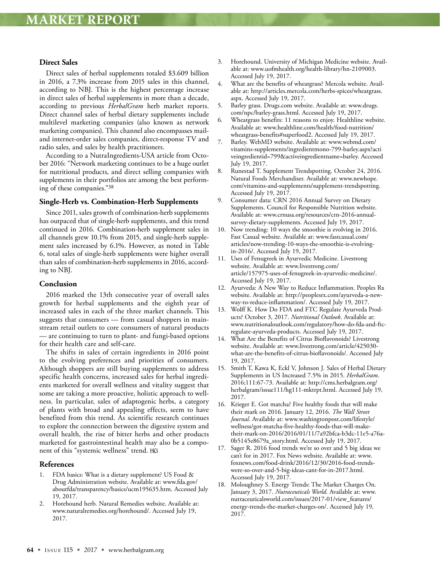#### **Direct Sales**

Direct sales of herbal supplements totaled \$3.609 billion in 2016, a 7.3% increase from 2015 sales in this channel, according to NBJ. This is the highest percentage increase in direct sales of herbal supplements in more than a decade, according to previous *HerbalGram* herb market reports. Direct channel sales of herbal dietary supplements include multilevel marketing companies (also known as network marketing companies). This channel also encompasses mailand internet-order sales companies, direct-response TV and radio sales, and sales by health practitioners.

According to a NutraIngredients-USA article from October 2016: "Network marketing continues to be a huge outlet for nutritional products, and direct selling companies with supplements in their portfolios are among the best performing of these companies."38

#### **Single-Herb vs. Combination-Herb Supplements**

Since 2011, sales growth of combination-herb supplements has outpaced that of single-herb supplements, and this trend continued in 2016. Combination-herb supplement sales in all channels grew 10.1% from 2015, and single-herb supplement sales increased by 6.1%. However, as noted in Table 6, total sales of single-herb supplements were higher overall than sales of combination-herb supplements in 2016, according to NBJ.

#### **Conclusion**

2016 marked the 13th consecutive year of overall sales growth for herbal supplements and the eighth year of increased sales in each of the three market channels. This suggests that consumers — from casual shoppers in mainstream retail outlets to core consumers of natural products — are continuing to turn to plant- and fungi-based options for their health care and self-care.

The shifts in sales of certain ingredients in 2016 point to the evolving preferences and priorities of consumers. Although shoppers are still buying supplements to address specific health concerns, increased sales for herbal ingredients marketed for overall wellness and vitality suggest that some are taking a more proactive, holistic approach to wellness. In particular, sales of adaptogenic herbs, a category of plants with broad and appealing effects, seem to have benefited from this trend. As scientific research continues to explore the connection between the digestive system and overall health, the rise of bitter herbs and other products marketed for gastrointestinal health may also be a component of this "systemic wellness" trend.

#### **References**

- FDA basics: What is a dietary supplement? US Food & Drug Administration website. Available at: www.fda.gov/ aboutfda/transparency/basics/ucm195635.htm. Accessed July 19, 2017.
- 2. Horehound herb. Natural Remedies website. Available at: www.naturalremedies.org/horehound/. Accessed July 19, 2017.
- 3. Horehound. University of Michigan Medicine website. Available at: www.uofmhealth.org/health-library/hn-2109003. Accessed July 19, 2017.
- 4. What are the benefits of wheatgrass? Mercola website. Available at: http://articles.mercola.com/herbs-spices/wheatgrass. aspx. Accessed July 19, 2017.
- 5. Barley grass. Drugs.com website. Available at: www.drugs. com/npc/barley-grass.html. Accessed July 19, 2017.
- 6. Wheatgrass benefits: 11 reasons to enjoy. Healthline website. Available at: www.healthline.com/health/food-nutrition/ wheatgrass-benefits#superfood2. Accessed July 19, 2017.
- 7. Barley. WebMD website. Available at: www.webmd.com/ vitamins-supplements/ingredientmono-799-barley.aspx?acti veingredientid=799&activeingredientname=barley. Accessed July 19, 2017.
- 8. Runestad T. Supplement Trendspotting. October 24, 2016. Natural Foods Merchandiser. Available at: www.newhope. com/vitamins-and-supplements/supplement-trendspotting. Accessed July 19, 2017.
- 9. Consumer data: CRN 2016 Annual Survey on Dietary Supplements. Council for Responsible Nutrition website. Available at: www.crnusa.org/resources/crn-2016-annualsurvey-dietary-supplements. Accessed July 19, 2017.
- 10. Now trending: 10 ways the smoothie is evolving in 2016. Fast Casual website. Available at: www.fastcasual.com/ articles/now-trending-10-ways-the-smoothie-is-evolvingin-2016/. Accessed July 19, 2017.
- 11. Uses of Fenugreek in Ayurvedic Medicine. Livestrong website. Available at: www.livestrong.com/ article/157975-uses-of-fenugreek-in-ayurvedic-medicine/. Accessed July 19, 2017.
- 12. Ayurveda: A New Way to Reduce Inflammation. Peoples Rx website. Available at: http://peoplesrx.com/ayurveda-a-newway-to-reduce-inflammation/. Accessed July 19, 2017.
- 13. Wolff K. How Do FDA and FTC Regulate Ayurveda Products? October 3, 2017. *Nutritional Outlook*. Available at: www.nutritionaloutlook.com/regulatory/how-do-fda-and-ftcregulate-ayurveda-products. Accessed July 19, 2017.
- 14. What Are the Benefits of Citrus Bioflavonoids? Livestrong website. Available at: www.livestrong.com/article/425030 what-are-the-benefits-of-citrus-bioflavonoids/. Accessed July 19, 2017.
- 15. Smith T, Kawa K, Eckl V, Johnson J. Sales of Herbal Dietary Supplements in US Increased 7.5% in 2015. *HerbalGram*. 2016;111:67-73. Available at: http://cms.herbalgram.org/ herbalgram/issue111/hg111-mktrpt.html. Accessed July 19, 2017.
- 16. Krieger E. Got matcha? Five healthy foods that will make their mark on 2016. January 12, 2016. *The Wall Street Journal*. Available at: www.washingtonpost.com/lifestyle/ wellness/got-matcha-five-healthy-foods-that-will-maketheir-mark-on-2016/2016/01/11/7a92bfca-b3dc-11e5-a76a-0b5145e8679a\_story.html. Accessed July 19, 2017.
- 17. Sager R. 2016 food trends we're so over and 5 big ideas we can't for in 2017. Fox News website. Available at: www. foxnews.com/food-drink/2016/12/30/2016-food-trendswere-so-over-and-5-big-ideas-cant-for-in-2017.html. Accessed July 19, 2017.
- 18. Moloughney S. Energy Trends: The Market Charges On. January 3, 2017. *Nutraceuticals World*. Available at: www. nutraceuticalsworld.com/issues/2017-01/view\_features/ energy-trends-the-market-charges-on/. Accessed July 19, 2017.